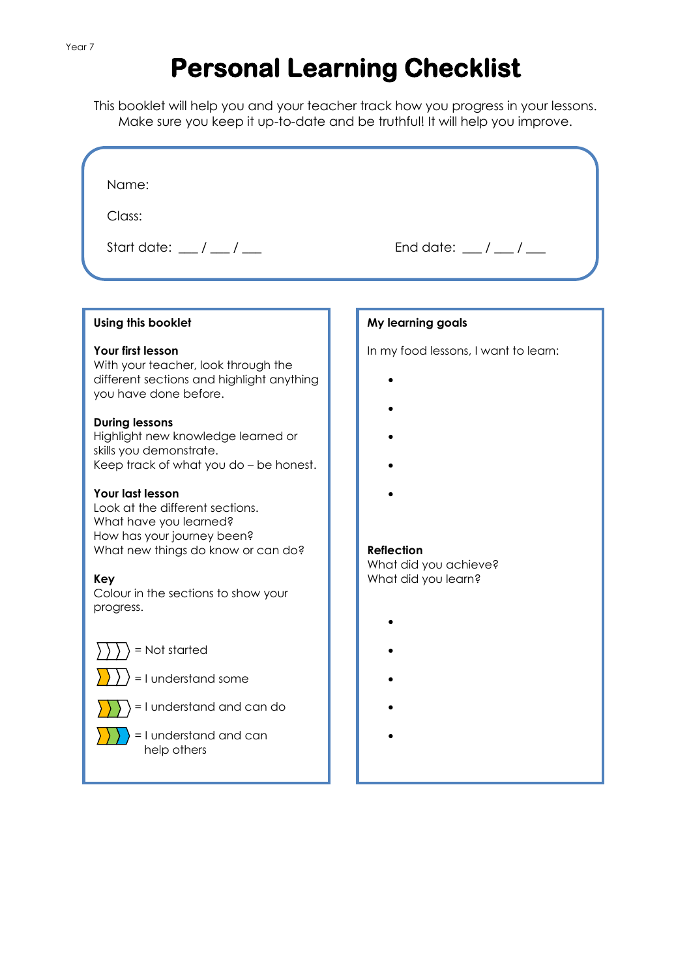# **Personal Learning Checklist**

This booklet will help you and your teacher track how you progress in your lessons. Make sure you keep it up-to-date and be truthful! It will help you improve.

| Name:<br>Class:<br>Start date: $\frac{1}{2}$ / $\frac{1}{2}$                                                                                                                                                                                                                                                                                                                                                                                                                       | End date: $\frac{1}{2}$ / $\frac{1}{2}$                                                                   |
|------------------------------------------------------------------------------------------------------------------------------------------------------------------------------------------------------------------------------------------------------------------------------------------------------------------------------------------------------------------------------------------------------------------------------------------------------------------------------------|-----------------------------------------------------------------------------------------------------------|
|                                                                                                                                                                                                                                                                                                                                                                                                                                                                                    |                                                                                                           |
|                                                                                                                                                                                                                                                                                                                                                                                                                                                                                    |                                                                                                           |
| Using this booklet                                                                                                                                                                                                                                                                                                                                                                                                                                                                 | My learning goals                                                                                         |
| Your first lesson<br>With your teacher, look through the<br>different sections and highlight anything<br>you have done before.<br><b>During lessons</b><br>Highlight new knowledge learned or<br>skills you demonstrate.<br>Keep track of what you do - be honest.<br>Your last lesson<br>Look at the different sections.<br>What have you learned?<br>How has your journey been?<br>What new things do know or can do?<br>Key<br>Colour in the sections to show your<br>progress. | In my food lessons, I want to learn:<br><b>Reflection</b><br>What did you achieve?<br>What did you learn? |
| ) = Not started<br>$\sqcup \sqcup$                                                                                                                                                                                                                                                                                                                                                                                                                                                 |                                                                                                           |
| = I understand some                                                                                                                                                                                                                                                                                                                                                                                                                                                                |                                                                                                           |
| = I understand and can do                                                                                                                                                                                                                                                                                                                                                                                                                                                          |                                                                                                           |
| = I understand and can<br>help others                                                                                                                                                                                                                                                                                                                                                                                                                                              |                                                                                                           |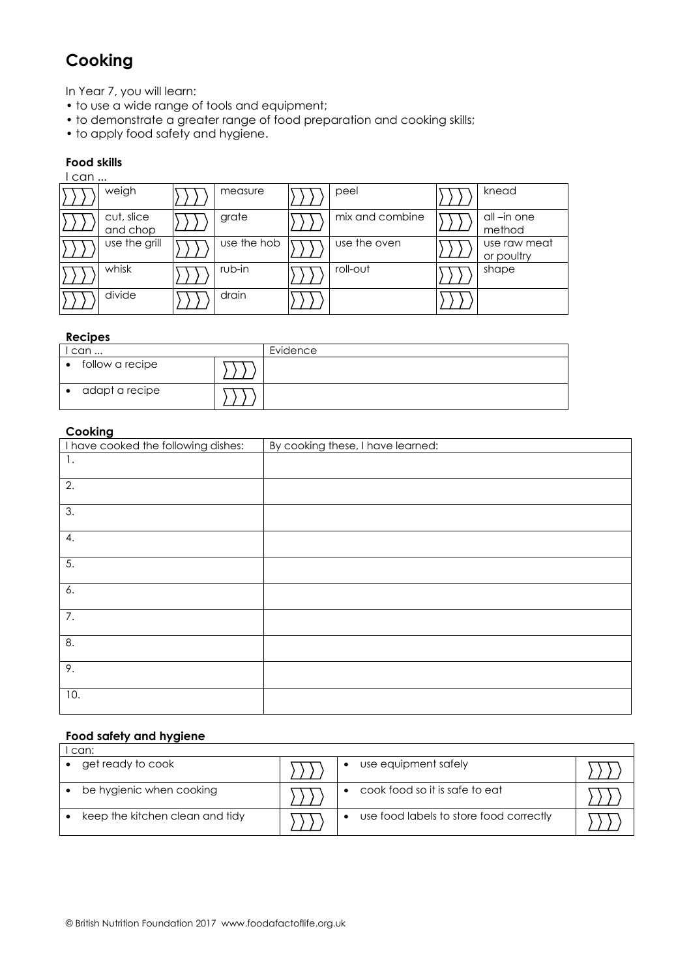# **Cooking**

In Year 7, you will learn:

- to use a wide range of tools and equipment;
- to demonstrate a greater range of food preparation and cooking skills;
- to apply food safety and hygiene.

### **Food skills**

| l can |                        |             |                 |                            |
|-------|------------------------|-------------|-----------------|----------------------------|
|       | weigh                  | measure     | peel            | knead                      |
|       | cut, slice<br>and chop | grate       | mix and combine | all-in one<br>method       |
|       | use the grill          | use the hob | use the oven    | use raw meat<br>or poultry |
|       | whisk                  | rub-in      | roll-out        | shape                      |
|       | divide                 | drain       |                 |                            |

#### **Recipes**

| l can     |                 |  | Evidence |
|-----------|-----------------|--|----------|
| $\bullet$ | follow a recipe |  |          |
| $\bullet$ | adapt a recipe  |  |          |

#### **Cooking**

| --<br>I have cooked the following dishes: | By cooking these, I have learned: |
|-------------------------------------------|-----------------------------------|
| 1.                                        |                                   |
| 2.                                        |                                   |
| 3.                                        |                                   |
| 4.                                        |                                   |
| 5.                                        |                                   |
| 6.                                        |                                   |
| 7.                                        |                                   |
| 8.                                        |                                   |
| 9.                                        |                                   |
| 10.                                       |                                   |

# **Food safety and hygiene**

| can:                            |  |  |                                         |  |  |  |  |
|---------------------------------|--|--|-----------------------------------------|--|--|--|--|
| get ready to cook               |  |  | use equipment safely                    |  |  |  |  |
| be hygienic when cooking        |  |  | cook food so it is safe to eat          |  |  |  |  |
| keep the kitchen clean and tidy |  |  | use food labels to store food correctly |  |  |  |  |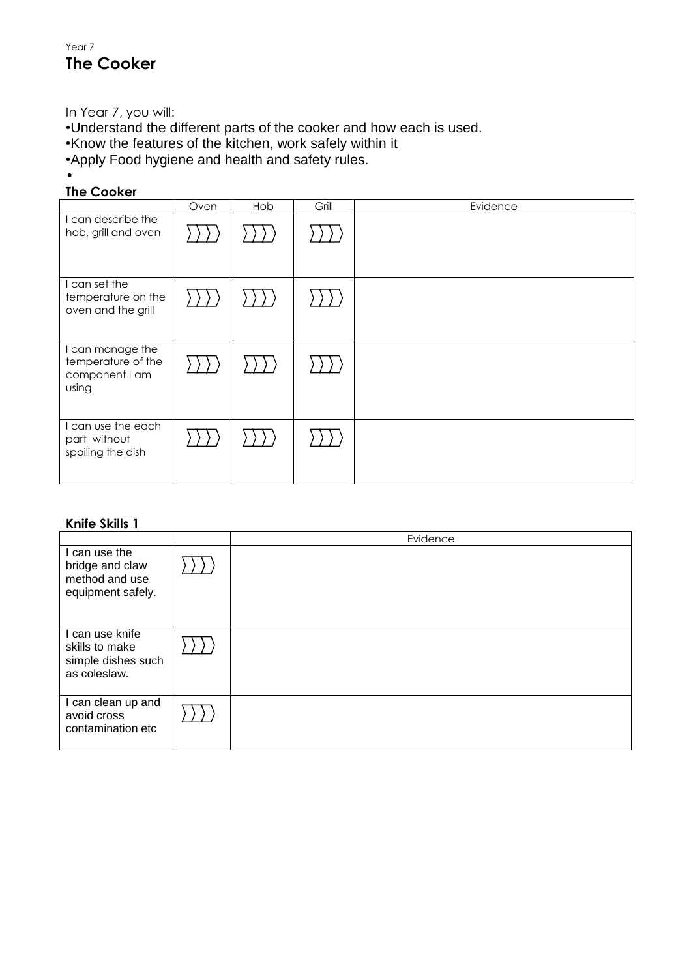# Year 7 **The Cooker**

In Year 7, you will:

•Understand the different parts of the cooker and how each is used.

•Know the features of the kitchen, work safely within it

•Apply Food hygiene and health and safety rules.

#### • **The Cooker**

|                                                                   | Oven | Hob | Grill | Evidence |
|-------------------------------------------------------------------|------|-----|-------|----------|
| I can describe the<br>hob, grill and oven                         |      |     |       |          |
| I can set the<br>temperature on the<br>oven and the grill         |      |     |       |          |
| I can manage the<br>temperature of the<br>component I am<br>using |      |     |       |          |
| I can use the each<br>part without<br>spoiling the dish           |      |     |       |          |

### **Knife Skills 1**

|                                                                         | Evidence |
|-------------------------------------------------------------------------|----------|
| I can use the<br>bridge and claw<br>method and use<br>equipment safely. |          |
| I can use knife<br>skills to make<br>simple dishes such<br>as coleslaw. |          |
| I can clean up and<br>avoid cross<br>contamination etc                  |          |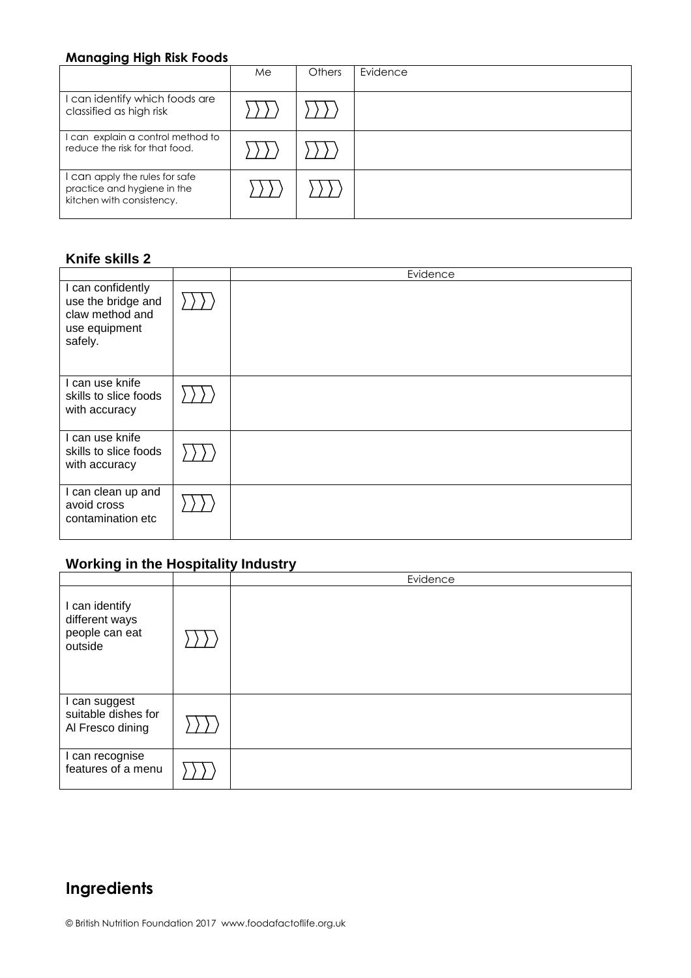## **Managing High Risk Foods**

|                                                                                          | Me | Others | Evidence |
|------------------------------------------------------------------------------------------|----|--------|----------|
| I can identify which foods are<br>classified as high risk                                |    |        |          |
| can explain a control method to<br>reduce the risk for that food.                        |    |        |          |
| can apply the rules for safe<br>practice and hygiene in the<br>kitchen with consistency. |    |        |          |

### **Knife skills 2**

|                                                                                        | Evidence |
|----------------------------------------------------------------------------------------|----------|
| I can confidently<br>use the bridge and<br>claw method and<br>use equipment<br>safely. |          |
| I can use knife<br>skills to slice foods<br>with accuracy                              |          |
| I can use knife<br>skills to slice foods<br>with accuracy                              |          |
| I can clean up and<br>avoid cross<br>contamination etc                                 |          |

# **Working in the Hospitality Industry**

|                                                               | Evidence |
|---------------------------------------------------------------|----------|
| I can identify<br>different ways<br>people can eat<br>outside |          |
| I can suggest<br>suitable dishes for<br>Al Fresco dining      |          |
| I can recognise<br>features of a menu                         |          |

# **Ingredients**